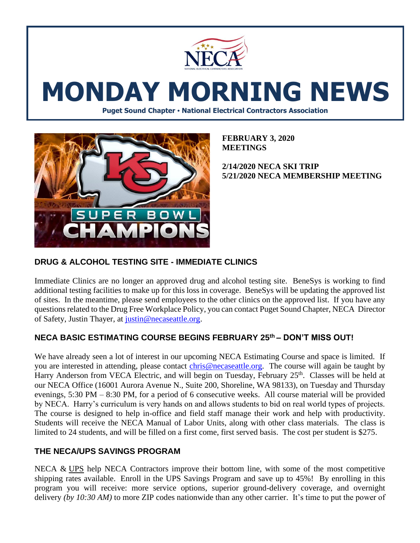

# **MONDAY MORNING NEWS**

**Puget Sound Chapter • National Electrical Contractors Association**



**FEBRUARY 3, 2020 MEETINGS**

**2/14/2020 NECA SKI TRIP 5/21/2020 NECA MEMBERSHIP MEETING** 

## **DRUG & ALCOHOL TESTING SITE - IMMEDIATE CLINICS**

Immediate Clinics are no longer an approved drug and alcohol testing site. BeneSys is working to find additional testing facilities to make up for this loss in coverage. BeneSys will be updating the approved list of sites. In the meantime, please send employees to the other clinics on the approved list. If you have any questions related to the Drug Free Workplace Policy, you can contact Puget Sound Chapter, NECA Director of Safety, Justin Thayer, at [justin@necaseattle.org.](mailto:justin@necaseattle.org)

## **NECA BASIC ESTIMATING COURSE BEGINS FEBRUARY 25th – DON'T MISS OUT!**

We have already seen a lot of interest in our upcoming NECA Estimating Course and space is limited. If you are interested in attending, please contact [chris@necaseattle.org.](mailto:chris@necaseattle.org) The course will again be taught by Harry Anderson from VECA Electric, and will begin on Tuesday, February 25<sup>th</sup>. Classes will be held at our NECA Office (16001 Aurora Avenue N., Suite 200, Shoreline, WA 98133), on Tuesday and Thursday evenings, 5:30 PM – 8:30 PM, for a period of 6 consecutive weeks. All course material will be provided by NECA. Harry's curriculum is very hands on and allows students to bid on real world types of projects. The course is designed to help in-office and field staff manage their work and help with productivity. Students will receive the NECA Manual of Labor Units, along with other class materials. The class is limited to 24 students, and will be filled on a first come, first served basis. The cost per student is \$275.

### **THE NECA/UPS SAVINGS PROGRAM**

NECA & [UPS](http://ups.com/) help NECA Contractors improve their bottom line, with some of the most competitive shipping rates available. Enroll in the UPS Savings Program and save up to 45%! By enrolling in this program you will receive: more service options, superior ground-delivery coverage, and overnight delivery *(by 10:30 AM)* to more ZIP codes nationwide than any other carrier. It's time to put the power of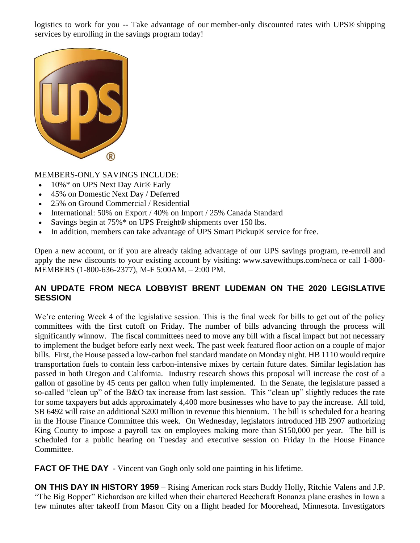logistics to work for you -- Take advantage of our member-only discounted rates with UPS® shipping services by enrolling in the savings program today!



MEMBERS-ONLY SAVINGS INCLUDE:

- 10%\* on UPS Next Day Air<sup>®</sup> Early
- 45% on Domestic Next Day / Deferred
- 25% on Ground Commercial / Residential
- International: 50% on Export / 40% on Import / 25% Canada Standard
- Savings begin at 75%<sup>\*</sup> on UPS Freight<sup>®</sup> shipments over 150 lbs.
- In addition, members can take advantage of UPS Smart Pickup® service for free.

Open a new account, or if you are already taking advantage of our UPS savings program, re-enroll and apply the new discounts to your existing account by visiting: www.savewithups.com/neca or call 1-800- MEMBERS (1-800-636-2377), M-F 5:00AM. – 2:00 PM.

## **AN UPDATE FROM NECA LOBBYIST BRENT LUDEMAN ON THE 2020 LEGISLATIVE SESSION**

We're entering Week 4 of the legislative session. This is the final week for bills to get out of the policy committees with the first cutoff on Friday. The number of bills advancing through the process will significantly winnow. The fiscal committees need to move any bill with a fiscal impact but not necessary to implement the budget before early next week. The past week featured floor action on a couple of major bills. First, the House passed a low-carbon fuel standard mandate on Monday night. HB 1110 would require transportation fuels to contain less carbon-intensive mixes by certain future dates. Similar legislation has passed in both Oregon and California. Industry research shows this proposal will increase the cost of a gallon of gasoline by 45 cents per gallon when fully implemented. In the Senate, the legislature passed a so-called "clean up" of the B&O tax increase from last session. This "clean up" slightly reduces the rate for some taxpayers but adds approximately 4,400 more businesses who have to pay the increase. All told, SB 6492 will raise an additional \$200 million in revenue this biennium. The bill is scheduled for a hearing in the House Finance Committee this week. On Wednesday, legislators introduced HB 2907 authorizing King County to impose a payroll tax on employees making more than \$150,000 per year. The bill is scheduled for a public hearing on Tuesday and executive session on Friday in the House Finance Committee.

**FACT OF THE DAY** - Vincent van Gogh only sold one painting in his lifetime.

**ON THIS DAY IN HISTORY 1959** – Rising American rock stars Buddy Holly, Ritchie Valens and J.P. "The Big Bopper" Richardson are killed when their chartered Beechcraft Bonanza plane crashes in Iowa a few minutes after takeoff from Mason City on a flight headed for Moorehead, Minnesota. Investigators